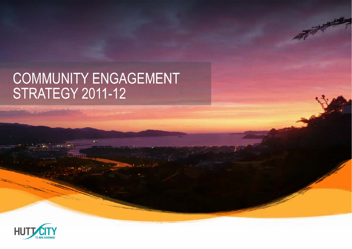# COMMUNITY ENGAGEMENT<br>STRATEGY 2011-12

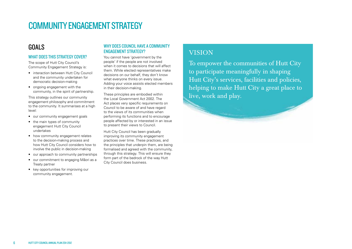# COMMUNITY ENGAGEMENT STRATEGY

# GOALS

#### WHAT DOES THIS STRATEGY COVER?

The scope of Hutt City Council's Community Engagement Strategy is:

- interaction between Hutt City Council and the community undertaken for democratic decision-making
- ongoing engagement with the community, in the spirit of partnership.

This strategy outlines our community engagement philosophy and commitment to the community. It summarises at a high level:

- our community engagement goals
- the main types of community engagement Hutt City Council undertakes
- how community engagement relates to the decision-making process and how Hutt City Council considers how to involve the public in decision-making
- our approach to community partnerships
- our commitment to engaging Mäori as a Treaty partner
- key opportunities for improving our community engagement.

#### WHY DOES COUNCIL HAVE A COMMUNITY **ENGAGEMENT STRATEGY?**

You cannot have 'government by the people' if the people are not involved when it comes to decisions that will affect them. While elected representatives make decisions on our behalf, they don't know what everyone thinks on every issue. Adding your voice assists elected members in their decision-making.

These principles are embodied within the Local Government Act 2002. The Act places very specific requirements on Council to be aware of and have regard to the views of its communities when performing its functions and to encourage people affected by or interested in an issue to present their views to Council.

Hutt City Council has been gradually improving its community engagement practices over time. These practices, and the principles that underpin them, are being formalised and agreed with the community, through this strategy. This will ensure they form part of the bedrock of the way Hutt City Council does business.

# VISION

To empower the communities of Hutt City to participate meaningfully in shaping Hutt City's services, facilities and policies, helping to make Hutt City a great place to live, work and play.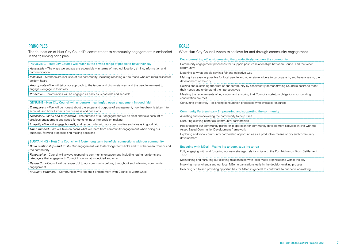#### **PRINCIPLES**

The foundation of Hutt City Council's commitment to community engagement is embodied in the following principles

INVOLVING – Hutt City Council will reach out to a wide range of people to have their say

Accessible – The ways we engage are accessible – in terms of method, location, timing, information and **communication** 

Inclusive – Methods are inclusive of our community, including reaching out to those who are marginalised or seldom heard

Appropriate – We will tailor our approach to the issues and circumstances, and the people we want to engage – engage in their way

Proactive – Communities will be engaged as early as is possible and sensible

#### GENUINE – Hutt City Council will undertake meaningful, open engagement in good faith

Transparent – We will be honest about the scope and purpose of engagement, how feedback is taken into account, and how it affects our business and decisions

Necessary, useful and purposeful – The purpose of our engagement will be clear and take account of previous engagement and scope for genuine input into decision-making

Integrity – We will engage honestly and respectfully with our communities and always in good faith

Open minded – We will take on board what we learn from community engagement when doing our business, forming proposals and making decisions

#### SUSTAINING – Hutt City Council will foster long term beneficial connections with our community

Build relationships and trust – Our engagement will foster longer term links and trust between Council and the community

Responsive – Council will always respond to community engagement, including letting residents and ratepayers that engage with Council know what is decided and why

Respectful – Council will be respectful to our community before, throughout and following community engagement

Mutually beneficial - Communities will feel their engagement with Council is worthwhile

#### GOALS

What Hutt City Council wants to achieve for and through community engagement

| Decision-making – Decision-making that productively involves the community                                                                                |
|-----------------------------------------------------------------------------------------------------------------------------------------------------------|
| Community engagement processes that support positive relationships between Council and the wider<br>community                                             |
| Listening to what people say in a fair and objective way                                                                                                  |
| Making it as easy as possible for local people and other stakeholders to participate in, and have a say in, the<br>development of the city                |
| Gaining and sustaining the trust of our community by consistently demonstrating Council's desire to meet<br>their needs and understand their perspectives |
| Meeting the requirements of legislation and ensuring that Council's statutory obligations surrounding<br>consultation are met                             |
| Consulting effectively – balancing consultation processes with available resources                                                                        |
|                                                                                                                                                           |
| Community Partnerships – Empowering and supporting the community                                                                                          |
| Assisting and empowering the community to help itself                                                                                                     |
| Nurturing existing beneficial community partnerships                                                                                                      |
| Redeveloping our community partnership approach for community development activities in line with the<br>Asset Based Community Development framework      |
| Exploring additional community partnership opportunities as a productive means of city and community<br>development                                       |
|                                                                                                                                                           |
| Engaging with Māori – Waiho i te toipoto, kaua i te toiroa                                                                                                |
| Fully engaging with and fostering our new strategic relationship with the Port Nicholson Block Settlement<br>Trust                                        |
|                                                                                                                                                           |

Maintaining and nurturing our existing relationships with local Mäori organisations within the city

Involving mana whenua and our local Mäori organisations early in the decision-making process

Reaching out to and providing opportunities for Mäori in general to contribute to our decision-making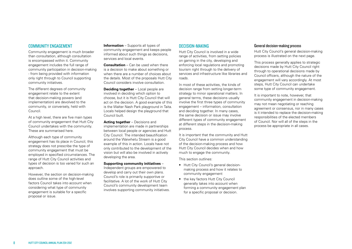#### Community engagement

Community engagement is much broader than consultation, although consultation is encompassed within it. Community engagement includes the full range of community participation in decision-making - from being provided with information only right through to Council supporting community initiatives.

The different degrees of community engagement relate to the extent that decision-making powers (and implementation) are devolved to the community, or conversely, held with Council.

At a high level, there are five main types of community engagement that Hutt City Council undertakes with the community. These are summarised here.

Although each type of community engagement has its place in Council, this strategy does not prescribe the type of community engagement that must be employed in specified circumstances. The range of Hutt City Council activities and types of decision is too varied for such an approach.

However, the section on decision-making does outline some of the high-level factors Council takes into account when considering what type of community engagement is suitable for a specific proposal or issue.

**Information** – Supports all types of community engagement and keeps people informed about such things as decisions, services and local events.

**Consultation** – Can be used when there is a decision to make about something or when there are a number of choices about the details. Most of the proposals Hutt City Council considers involve consultation.

**Deciding together** – Local people are involved in deciding which option to choose, but it is Hutt City Council that will act on the decision. A good example of this is the Walter Nash Park playground in Taita. Locals helped design the playground that Council built.

**Acting together** – Decisions and implementation are made in partnerships between local people or agencies and Hutt City Council. The intended beautification around the Waiwhetu Stream is a good example of this in action. Locals have not only contributed to the development of the vision but will also be involved in actively developing the area.

#### **Supporting community initiatives** –

Independent groups are empowered to develop and carry out their own plans. Council's role is primarily supportive or facilitative. A lot of the work of Hutt City Council's community development team involves supporting community initiatives.

#### DECISION-MAKING

Hutt City Council is involved in a wide range of activities, from setting policies on gaming in the city, developing and enforcing local regulations and promoting tourism right through to the delivery of services and infrastructure like libraries and roads.

In most of these activities, the kinds of decision range from setting longer-term strategy to minor operational matters. In general terms, these decisions usually involve the first three types of community engagement – information, consultation and deciding together. In many cases, the same decision or issue may involve different types of community engagement at different steps in the decision-making process.

It is important that the community and Hutt City Council have a common understanding of the decision-making process and how Hutt City Council decides when and how much to engage the community.

This section outlines:

- Hutt City Council's general decisionmaking process and how it relates to community engagement
- the key factors Hutt City Council generally takes into account when forming a community engagement plan for a specific proposal or decision.

#### General decision-making process

Hutt City Council's general decision-making process is illustrated on the next page.

This process generally applies to strategic decisions made by Hutt City Council right through to operational decisions made by Council officers, although the nature of the engagement will vary accordingly. At most steps, Hutt City Council can undertake some type of community engagement.

It is important to note, however, that community engagement in decision-making may not mean negotiating or reaching agreement or consensus, nor in many cases is it intended to replace the decision-making responsibilities of the elected members of Council. Nor will all of the steps in the process be appropriate in all cases.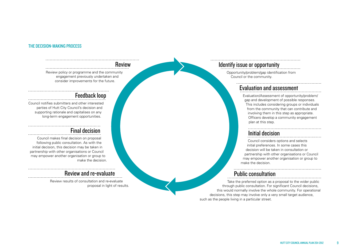#### The decision-making process

#### Review

Review policy or programme and the community engagement previously undertaken and consider improvements for the future.

## Feedback loop

Council notifies submitters and other interested parties of Hutt City Council's decision and supporting rationale and capitalises on any long-term engagement opportunities.

# Final decision

Council makes final decision on proposal following public consultation. As with the initial decision, this decision may be taken in partnership with other organisations or Council may empower another organisation or group to make the decision.

## Review and re-evaluate

Review results of consultation and re-evaluate proposal in light of results.

# Identify issue or opportunity

Opportunity/problem/gap identification from Council or the community.

## Evaluation and assessment

Evaluation/Assessment of opportunity/problem/ gap and development of possible responses. This includes considering groups or individuals from the community that can contribute and involving them in this step as appropriate. Officers develop a community engagement plan at this step.

## Initial decision

Council considers options and selects initial preferences. In some cases this decision will be taken in consultation or partnership with other organisations or Council may empower another organisation or group to make the decision.

## Public consultation

Take the preferred option as a proposal to the wider public through public consultation. For significant Council decisions, this would normally involve the whole community. For operational decisions, this step may involve only a very small target audience, such as the people living in a particular street.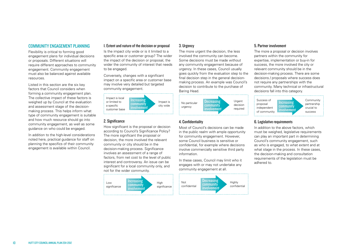#### COMMUNITY ENGAGEMENT PLANNING

Flexibility is critical to forming good engagement plans for individual decisions or proposals. Different situations will require different approaches to community engagement. Community engagement must also be balanced against available resources.

Listed in this section are the six key factors that Council considers when forming a community engagement plan. The collective impact of these factors is weighed up by Council at the evaluation and assessment stage of the decisionmaking process. This helps inform what type of community engagement is suitable and how much resource should go into community engagement, as well as some guidance on who could be engaged.

In addition to the high-level considerations noted here, practical guidance for staff on planning the specifics of their community engagement is available within Council.

#### 1. Extent and nature of the decision or proposal

Is the impact city wide or is it limited to a specific area or customer group? The wider the impact of the decision or proposal, the wider the community of interest that needs to be engaged.

Conversely, changes with a significant impact on a specific area or customer base may involve very detailed but targeted community engagement.



#### 2. Significance

How significant is the proposal or decision according to Council's Significance Policy? The more significant the proposal or decision, the more involved the relevant community or city should be in the decision-making process. Significance involves an assessment of a range of factors, from net cost to the level of public interest and controversy. An issue can be significant for a local community only, and not for the wider community.



#### 3. Urgency

The more urgent the decision, the less involved the community can become. Some decisions must be made without any community engagement because of urgency. In these cases, Council usually goes quickly from the evaluation step to the final decision step in the general decisionmaking process. An example was Council's decision to contribute to the purchase of Baring Head.



#### 4. Confidentiality

Most of Council's decisions can be made in the public realm with ample opportunity for community engagement. However, some Council business is sensitive or confidential, for example where decisions involve commercially sensitive third party information.

In these cases, Council may limit who it engages with or may not undertake any community engagement at all.



#### 5. Partner involvement

The more a proposal or decision involves partners within the community for expertise, implementation or buy-in for success, the more involved the city or relevant community should be in the decision-making process. There are some decisions / proposals where success does not require any partnerships with the community. Many technical or infrastructural decisions fall into this category.



#### 6. Legislative requirements

In addition to the above factors, which must be weighed, legislative requirements can play an important part in determining Council's community engagement, such as who is engaged, to what extent and at what stage in the process. In these cases, the decision-making and consultation requirements of the legislation must be adhered to.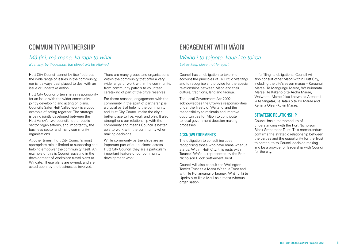## Community Partnership

## Mä tini, mä mano, ka rapa te whai

By many, by thousands, the object will be attained

Hutt City Council cannot by itself address the wide range of issues in the community, nor is it always best placed to deal with an issue or undertake action.

Hutt City Council often shares responsibility for an issue with the wider community, jointly developing and acting on plans. Council's Safer Hutt Valley work is a good example of acting together. The strategy is being jointly developed between the Hutt Valley's two councils, other public sector organisations, and importantly, the business sector and many community organisations.

At other times, Hutt City Council's most appropriate role is limited to supporting and helping empower the community itself. An example of this is Council assisting in the development of workplace travel plans at Wingate. These plans are owned, and are acted upon, by the businesses involved.

There are many groups and organisations within the community that offer a very wide range of work within the community, from community patrols to volunteer caretaking of part of the city's reserves.

For these reasons, engagement with the community in the spirit of partnership is a crucial part of helping the community and Hutt City Council make the city a better place to live, work and play. It also strengthens our relationship with the community and means Council is better able to work with the community when making decisions.

While community partnerships are an important part of our business across Hutt City Council, they are a particularly important feature of our community development work.

# Engagement with Mäori

#### Waiho i te toipoto, kaua i te toiroa

Let us keep close, not far apart

Council has an obligation to take into account the principles of Te Tiriti o Waitangi and to recognise and provide for the special relationships between Mäori and their culture, traditions, land and taonga.

The Local Government Act 2002 acknowledges the Crown's responsibilities under the Treaty of Waitangi and the responsibility to maintain and improve opportunities for Mäori to contribute to local government decision-making processes.

#### ACKNOWLEDGEMENTS

The obligation to consult includes recognising those who have mana whenua status. Within Hutt City, this rests with Taranaki Whänui, represented by the Port Nicholson Block Settlement Trust.

Council will also consult the Wellington Tenths Trust as a Mana Whenua Trust and with Te Runanganui o Taranaki Whänui ki te Upoko o te Ika a Maui as a mana whenua organisation.

In fulfilling its obligations, Council will also consult other Mäori within Hutt City, including the city's seven marae – Koraunui Marae, Te Mangungu Marae, Wainuiomata Marae, Te Kakano o te Aroha Marae, Waiwhetu Marae (also known as Arohanui ki te tangata), Te Tatau o te Po Marae and Keriana Olsen-Kokiri Marae.

#### STRATEGIC RELATIONSHIP

Council has a memorandum of understanding with the Port Nicholson Block Settlement Trust. This memorandum confirms the strategic relationship between the parties and the opportunity for the Trust to contribute to Council decision-making and be a provider of leadership with Council for the city.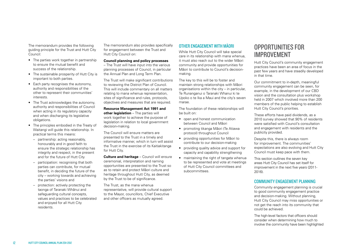The memorandum provides the following guiding principle for the Trust and Hutt City Council:

- The parties work together in partnership to ensure the mutual benefit and success of the relationship.
- The sustainable prosperity of Hutt City is important to both parties.
- Each party recognises the autonomy, authority and responsibilities of the other to represent their communities' interests.
- The Trust acknowledges the autonomy, authority and responsibilities of Council when acting in its regulatory capacity and when discharging its legislative obligations.
- The principles embodied in the Treaty of Waitangi will guide this relationship. In practical terms this means:
	- partnership: acting reasonably, honourably and in good faith to ensure the strategic relationship has integrity and respect, in the present and for the future of Hutt City
	- participation: recognising that both parties can contribute, for mutual benefit, in deciding the future of the city – working towards and achieving the parties' visions and
	- protection: actively protecting the taonga of Taranaki Whänui and safeguarding cultural concepts, values and practices to be celebrated and enjoyed for all Hutt City residents.

The memorandum also provides specifically for engagement between the Trust and Hutt City Council on:

#### **Council planning and policy processes**

– The Trust will have input into the various planning processes of Council, in particular the Annual Plan and Long Term Plan.

The Trust will make significant contributions to reviewing the District Plan of Council. This will include commentary on all matters relating to mana whenua representation, sites of significance and rules, protocols objectives and measures that are required.

#### **Resource Management Act 1991 and other legislation** – The parties will work together to achieve the purpose of legislation in relation to local government decision-making.

The Council will ensure matters are presented to the Trust in a timely and informative manner, which in turn will assist the Trust in the exercise of its Kaitiakitanga for Hutt City.

**Culture and heritage** – Council will ensure ceremonial, interpretation and naming opportunities are presented to the Trust so as to retain and protect Mäori culture and heritage throughout Hutt City, as deemed by the Trust to be of significance.

The Trust, as the mana whenua representative, will provide cultural support to the Mayor, councillors, Chief Executive and other officers as mutually agreed.

#### OTHER ENGAGEMENT WITH Mäori

While Hutt City Council will take special care in its relationship with mana whenua, it must also reach out to the wider Mäori community and provide opportunities for Mäori to contribute to Council's decisionmaking.

The key to this will be to foster and maintain strong relationships with Mäori organisations within the city – in particular, Te Runanganui o Taranaki Whanui ki te Upoko o te Ika a Maui and the city's seven marae.

The foundation of these relationships will be built on:

- open and honest communication between Council and Mäori
- promoting tikanga Mäori (Te Atiawa protocol) throughout Council
- providing opportunities for Mäori to contribute to our decision-making
- providing quality advice and support for capacity and capability strengthening
- maintaining the right of tangata whenua to be represented and vote at meetings of Hutt City Council committees and subcommittees.

# OPPORTUNITIES FOR IMPROVEMENT

Hutt City Council's community engagement practices have been an area of focus in the past few years and have steadily developed in that time.

Our commitment to in-depth, meaningful community engagement can be seen, for example, in the development of our CBD vision and the consultation plus workshop held in 2007 which involved more than 200 members of the public helping to establish Hutt City Council's priorities.

These efforts have paid dividends, as a 2010 survey showed that 90% of residents were satisfied with Council's consultation and engagement with residents and the publicity provided.

Despite this, there is always room for improvement. The communities' expectations are also evolving and Hutt City Council must keep pace with them.

This section outlines the seven key areas Hutt City Council has set itself for improvement in the next five years (2011- 2016).

#### COMMUNITY ENGAGEMENT PLANNING

Community engagement planning is crucial to good community engagement practice and decision-making. Without planning, Hutt City Council may miss opportunities or not get the reach into its community that could be achieved.

The high-level factors that officers should consider when determining how much to involve the community have been highlighted